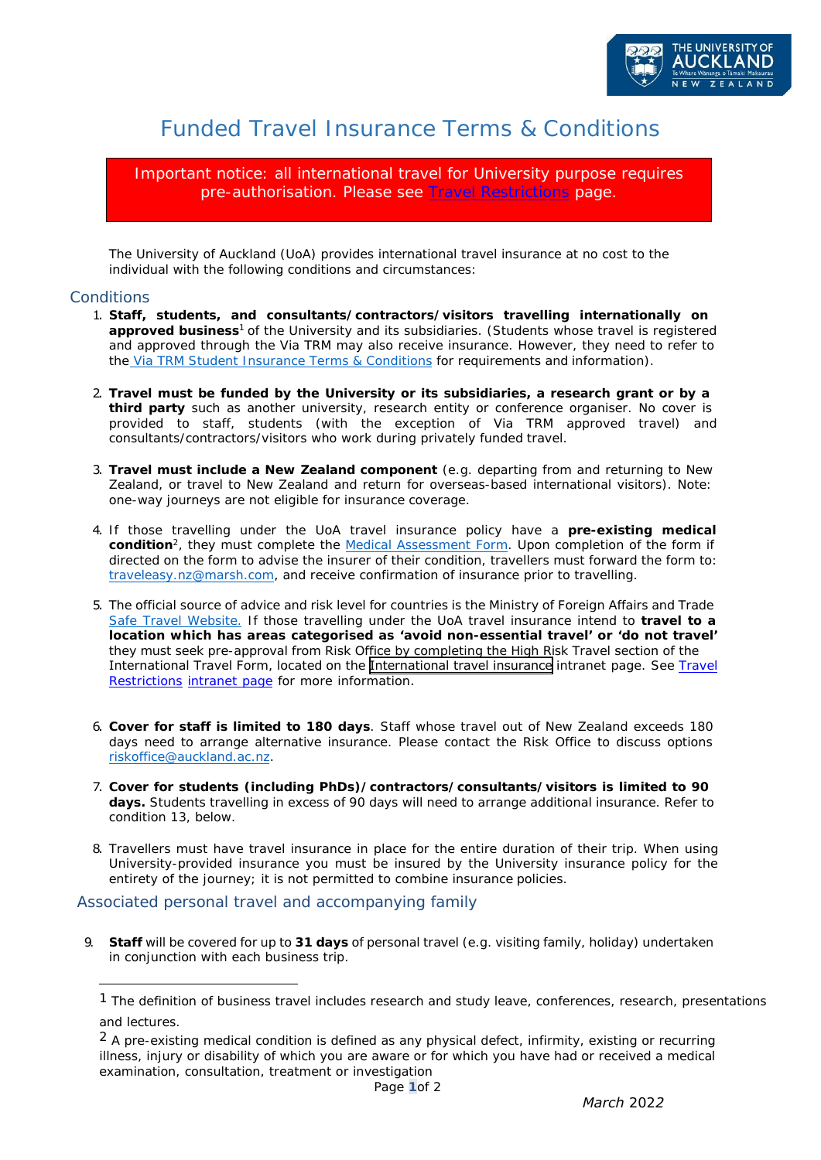

# Funded Travel Insurance Terms & Conditions

Important notice: all international travel for University purpose requires pre-authorisation. Please se[e Travel Restrictions](https://www.staff.auckland.ac.nz/en/covid-19/travel-and-travel-insurance/travel-restrictions.html) page.

The University of Auckland (UoA) provides international travel insurance at no cost to the individual with the following conditions and circumstances:

### **Conditions**

- 1. **Staff, students, and consultants/contractors/visitors travelling internationally on approved** *business<sup>1</sup>*of the University and its subsidiaries. (Students whose travel is registered and approved through the Via TRM may also receive insurance. However, they need to refer to the [Via TRM Student Insurance Terms & Conditions](https://www.auckland.ac.nz/en/for/current-students/cs-life-at-auckland/travelling-overseas-for-university-activities.html) for requirements and information).
- 2. **Travel must be funded by the University or its subsidiaries, a research grant or by a third party** such as another university, research entity or conference organiser. No cover is provided to staff, students (with the exception of Via TRM approved travel) and consultants/contractors/visitors who work during privately funded travel.
- 3. **Travel must include a New Zealand component** (e.g. departing from and returning to New Zealand, or travel to New Zealand and return for overseas-based international visitors). Note: one-way journeys are not eligible for insurance coverage.
- 4. If those travelling under the UoA travel insurance policy have a **pre-existing medical condition**<sup>2</sup>, they must complete the <u>Medical [Assessment](https://cdn.auckland.ac.nz/assets/auckland/students/forms-policies-and-guidelines/student-travel-guidelines/medical-self-assessment-form-and-questionnaire.pdf) Form</u>. Upon completion of the form if directed on the form to advise the insurer of their condition, travellers must forward the form t[o:](mailto:traveleasy.nz@marsh.com) [traveleasy.nz@marsh.com,](mailto:traveleasy.nz@marsh.com) and receive confirmation of insurance prior to travelling.
- 5. The official source of advice and risk level for countries is the Ministry of Foreign Affairs and Trade [Safe Travel Website.](http://www.safetravel.govt.nz/) If those travelling under the UoA travel insurance intend to **travel to a location which has areas categorised as 'avoid non-essential travel' or 'do not trave[l'](https://www.staff.auckland.ac.nz/en/central-services/travel-and-accommodation/travel-insurance.html)** they must seek pre-approval from Risk Office by completing the High Risk Travel s[ection of the](https://www.staff.auckland.ac.nz/en/central-services/travel-and-accommodation/travel-insurance.html) [International](https://www.staff.auckland.ac.nz/en/central-services/travel-and-accommodation/travel-insurance.html) Travel Form, located on the [International travel insurance](https://www.staff.auckland.ac.nz/en/covid-19/travel-and-travel-insurance/travel-restrictions.html) intranet page. See Travel Restrictions intranet page for more information.
- 6. **Cover for staff is limited to 180 days**. Staff whose travel out of New Zealand exceeds 180 days need [to arrange alte](mailto:riskoffice@auckland.ac.nz)rnative insurance. Please contact the Risk Office to discuss options riskoffice@auckland.ac.nz.
- 7. **Cover for students (including PhDs)/contractors/consultants/visitors is limited to 90 days.** Students travelling in excess of 90 days will need to arrange additional insurance. Refer to condition 13, below.
- 8. Travellers must have travel insurance in place for the entire duration of their trip. When using University-provided insurance you must be insured by the University insurance policy for the entirety of the journey; it is not permitted to combine insurance policies.

## Associated personal travel and accompanying family

9. **Staff** will be covered for up to **31 days** of personal travel (e.g. visiting family, holiday) undertaken in conjunction with each business trip.

<sup>1</sup> The definition of *business* travel includes research and study leave, conferences, research, presentations and lectures.

 $<sup>2</sup>$  A pre-existing medical condition is defined as any physical defect, infirmity, existing or recurring</sup> illness, injury or disability of which you are aware or for which you have had or received a medical examination, consultation, treatment or investigation